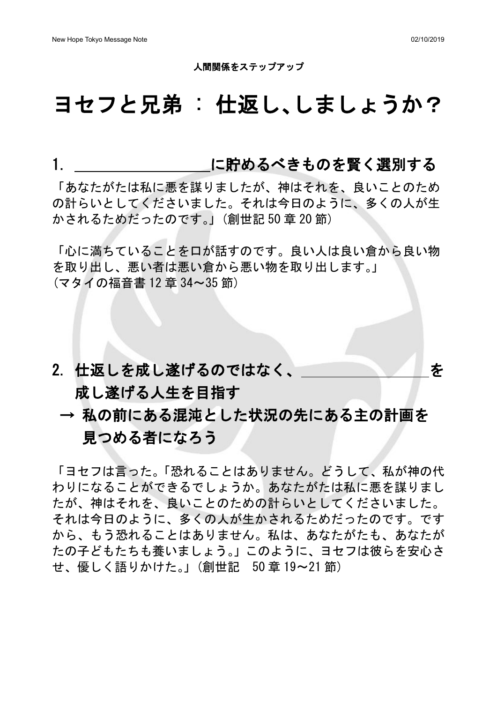#### 人間関係をステップアップ

## ヨセフと兄弟 : 仕返し、しましょうか?

### 1. いっともとのできものを賢く選別する

「あなたがたは私に悪を謀りましたが、神はそれを、良いことのため の計らいとしてくださいました。それは今日のように、多くの人が生 かされるためだったのです。」(創世記 50 章 20 節)

「心に満ちていることを口が話すのです。良い人は良い倉から良い物 を取り出し、悪い者は悪い倉から悪い物を取り出します。」 (マタイの福音書 12 章 34~35 節)

# 2. 仕返しを成し遂げるのではなく、 そんなのはない 成し遂げる人生を目指す

## → 私の前にある混沌とした状況の先にある主の計画を 見つめる者になろう

「ヨセフは言った。「恐れることはありません。どうして、私が神の代 わりになることができるでしょうか。あなたがたは私に悪を謀りまし たが、神はそれを、良いことのための計らいとしてくださいました。 それは今日のように、多くの人が生かされるためだったのです。です から、もう恐れることはありません。私は、あなたがたも、あなたが たの子どもたちも養いましょう。」このように、ヨセフは彼らを安心さ せ、優しく語りかけた。」(創世記 50 章 19~21 節)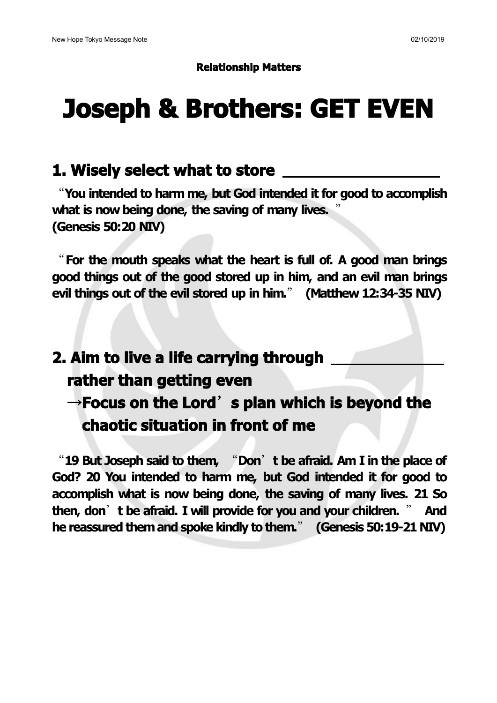#### **Relationship Matters**

# **Joseph & Brothers: GET EVEN**

#### **1. Wisely select what to store**

"**You intended to harm me, but God intended it for good to accomplish what is now being done, the saving of many lives.** " **(Genesis 50:20 NIV)**

"**For the mouth speaks what the heart is fullof. A good man brings good things out of the good stored up in him, and an evil man brings evil things out of the evil stored up in him.**" **(Matthew 12:34-35 NIV)**

## **2. Aim to live a life carrying through rather than getting even** →**Focus on the Lord**'**s plan which is beyond the chaotic situation in front of me**

"**19 But Joseph said to them,** "**Don**'**t be afraid. Am I in the place of God? 20 You intended to harm me, but God intended it for good to accomplish what is now being done, the saving of many lives. 21 So then, don**'**t be afraid. I willprovide for you and your children.** " **And he reassured themand spoke kindly to them.**" **(Genesis 50:19-21 NIV)**